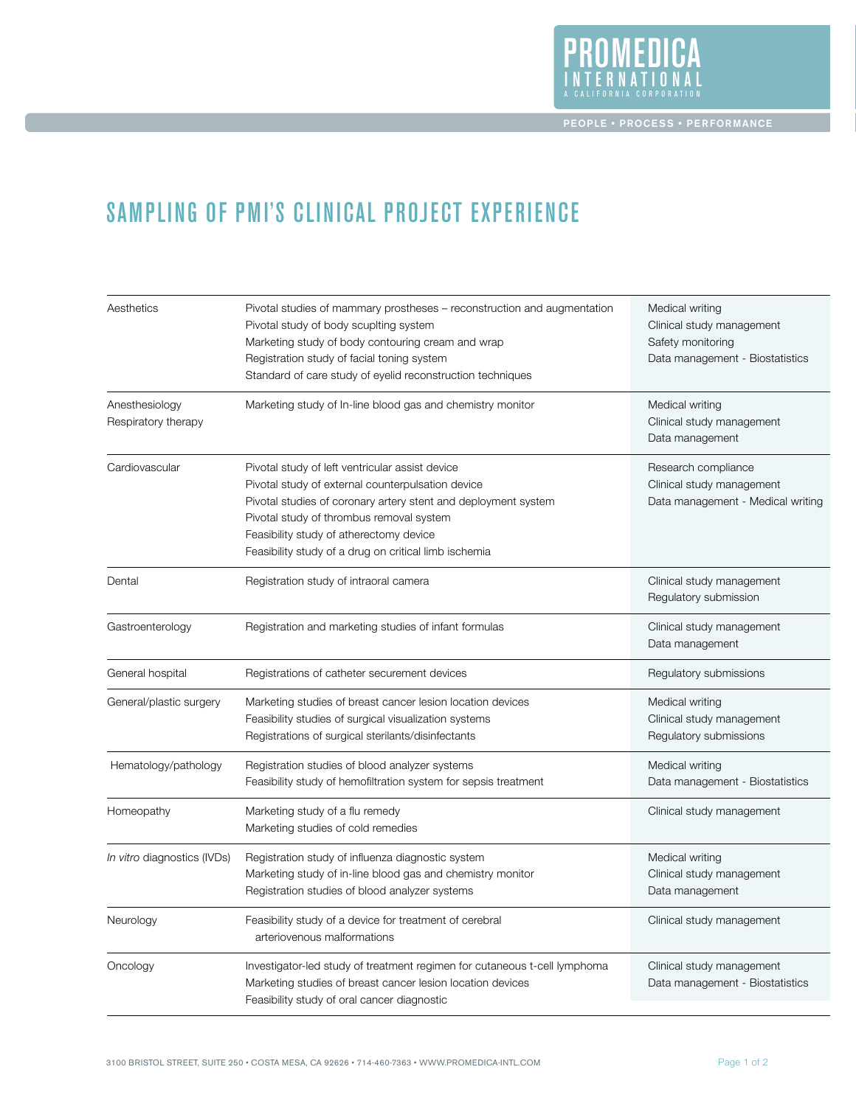

## SAMPLING OF PMI's CLINICAL PROJECT EXPERIENCE

| Aesthetics                            | Pivotal studies of mammary prostheses – reconstruction and augmentation<br>Pivotal study of body scuplting system<br>Marketing study of body contouring cream and wrap<br>Registration study of facial toning system<br>Standard of care study of eyelid reconstruction techniques                                     | Medical writing<br>Clinical study management<br>Safety monitoring<br>Data management - Biostatistics |
|---------------------------------------|------------------------------------------------------------------------------------------------------------------------------------------------------------------------------------------------------------------------------------------------------------------------------------------------------------------------|------------------------------------------------------------------------------------------------------|
| Anesthesiology<br>Respiratory therapy | Marketing study of In-line blood gas and chemistry monitor                                                                                                                                                                                                                                                             | Medical writing<br>Clinical study management<br>Data management                                      |
| Cardiovascular                        | Pivotal study of left ventricular assist device<br>Pivotal study of external counterpulsation device<br>Pivotal studies of coronary artery stent and deployment system<br>Pivotal study of thrombus removal system<br>Feasibility study of atherectomy device<br>Feasibility study of a drug on critical limb ischemia | Research compliance<br>Clinical study management<br>Data management - Medical writing                |
| Dental                                | Registration study of intraoral camera                                                                                                                                                                                                                                                                                 | Clinical study management<br>Regulatory submission                                                   |
| Gastroenterology                      | Registration and marketing studies of infant formulas                                                                                                                                                                                                                                                                  | Clinical study management<br>Data management                                                         |
| General hospital                      | Registrations of catheter securement devices                                                                                                                                                                                                                                                                           | Regulatory submissions                                                                               |
| General/plastic surgery               | Marketing studies of breast cancer lesion location devices<br>Feasibility studies of surgical visualization systems<br>Registrations of surgical sterilants/disinfectants                                                                                                                                              | Medical writing<br>Clinical study management<br>Regulatory submissions                               |
| Hematology/pathology                  | Registration studies of blood analyzer systems<br>Feasibility study of hemofiltration system for sepsis treatment                                                                                                                                                                                                      | Medical writing<br>Data management - Biostatistics                                                   |
| Homeopathy                            | Marketing study of a flu remedy<br>Marketing studies of cold remedies                                                                                                                                                                                                                                                  | Clinical study management                                                                            |
| <i>In vitro</i> diagnostics (IVDs)    | Registration study of influenza diagnostic system<br>Marketing study of in-line blood gas and chemistry monitor<br>Registration studies of blood analyzer systems                                                                                                                                                      | Medical writing<br>Clinical study management<br>Data management                                      |
| Neurology                             | Feasibility study of a device for treatment of cerebral<br>arteriovenous malformations                                                                                                                                                                                                                                 | Clinical study management                                                                            |
| Oncology                              | Investigator-led study of treatment regimen for cutaneous t-cell lymphoma<br>Marketing studies of breast cancer lesion location devices<br>Feasibility study of oral cancer diagnostic                                                                                                                                 | Clinical study management<br>Data management - Biostatistics                                         |